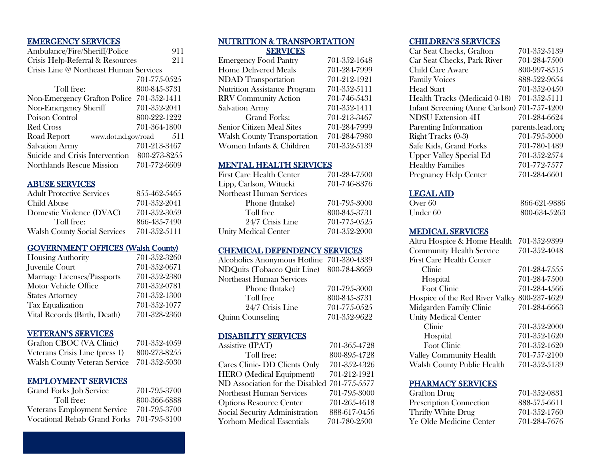## EMERGENCY SERVICES

| Ambulance/Fire/Sheriff/Police             | 911          |
|-------------------------------------------|--------------|
| Crisis Help-Referral & Resources          | 211          |
| Crisis Line @ Northeast Human Services    |              |
|                                           | 701-775-0525 |
| Toll free:                                | 800-845-3731 |
| Non-Emergency Grafton Police 701-352-1411 |              |
| Non-Emergency Sheriff                     | 701-352-2041 |
| Poison Control                            | 800-222-1222 |
| <b>Red Cross</b>                          | 701-364-1800 |
| Road Report<br>www.dot.nd.gov/road        | 511          |
| <b>Salvation Army</b>                     | 701-213-3467 |
| Suicide and Crisis Intervention           | 800-273-8255 |
| Northlands Rescue Mission                 | 701-772-6609 |
|                                           |              |

## ABUSE SERVICES

| <b>Adult Protective Services</b>    | 855-462-5465 |
|-------------------------------------|--------------|
| Child Abuse                         | 701-352-2041 |
| Domestic Violence (DVAC)            | 701-352-3059 |
| Toll free:                          | 866-435-7490 |
| <b>Walsh County Social Services</b> | 701-352-5111 |

# GOVERNMENT OFFICES (Walsh County)

| <b>Housing Authority</b>     | 701-352-3260 |
|------------------------------|--------------|
| Juvenile Court               | 701-352-0671 |
| Marriage Licenses/Passports  | 701-352-2380 |
| Motor Vehicle Office         | 701-352-0781 |
| <b>States Attorney</b>       | 701-352-1300 |
| <b>Tax Equalization</b>      | 701-352-1077 |
| Vital Records (Birth, Death) | 701-328-2360 |

## VETERAN'S SERVICES

| Grafton CBOC (VA Clinic)            | 701-352-4059 |
|-------------------------------------|--------------|
| Veterans Crisis Line (press 1)      | 800-273-8255 |
| <b>Walsh County Veteran Service</b> | 701-352-5030 |

## EMPLOYMENT SERVICES

| <b>Grand Forks Job Service</b>            | 701-795-3700 |
|-------------------------------------------|--------------|
| Toll free:                                | 800-366-6888 |
| <b>Veterans Employment Service</b>        | 701-795-3700 |
| Vocational Rehab Grand Forks 701-795-3100 |              |

## NUTRITION & TRANSPORTATION **SERVICES**

| <b>Emergency Food Pantry</b>        | 701-352-1648 |
|-------------------------------------|--------------|
| <b>Home Delivered Meals</b>         | 701-284-7999 |
| <b>NDAD</b> Transportation          | 701-212-1921 |
| <b>Nutrition Assistance Program</b> | 701-352-5111 |
| <b>RRV</b> Community Action         | 701-746-5431 |
| <b>Salvation Army</b>               | 701-352-1411 |
| Grand Forks:                        | 701-213-3467 |
| <b>Senior Citizen Meal Sites</b>    | 701-284-7999 |
| <b>Walsh County Transportation</b>  | 701-284-7980 |
| Women Infants & Children            | 701-352-5139 |
|                                     |              |

## MENTAL HEALTH SERVICES

| <b>First Care Health Center</b> | 701-284-7500 |
|---------------------------------|--------------|
| Lipp, Carlson, Witucki          | 701-746-8376 |
| <b>Northeast Human Services</b> |              |
| Phone (Intake)                  | 701-795-3000 |
| Toll free                       | 800-845-3731 |
| 24/7 Crisis Line                | 701-775-0525 |
| <b>Unity Medical Center</b>     | 701-352-2000 |

## CHEMICAL DEPENDENCY SERVICES

| Alcoholics Anonymous Hotline 701-330-4339 |              |
|-------------------------------------------|--------------|
| NDQuits (Tobacco Quit Line) 800-784-8669  |              |
| Northeast Human Services                  |              |
| Phone (Intake)                            | 701-795-3000 |
| Toll free                                 | 800-845-3731 |
| 24/7 Crisis Line                          | 701-775-0525 |
| <b>Quinn Counseling</b>                   | 701-352-9622 |

## DISABILITY SERVICES

| 701-365-4728                                 |
|----------------------------------------------|
| 800-895-4728                                 |
| 701-352-4326                                 |
| 701-212-1921                                 |
| ND Association for the Disabled 701-775-5577 |
| 701-795-3000                                 |
| 701-265-4618                                 |
| 888-617-0456                                 |
| 701-780-2500                                 |
|                                              |

# CHILDREN'S SERVICES

| Car Seat Checks, Grafton                     | 701-352-5139     |
|----------------------------------------------|------------------|
| Car Seat Checks, Park River                  | 701-284-7500     |
| <b>Child Care Aware</b>                      | 800-997-8515     |
| <b>Family Voices</b>                         | 888-522-9654     |
| Head Start                                   | 701-352-0450     |
| Health Tracks (Medicaid 0-18)                | 701-352-5111     |
| Infant Screening (Anne Carlson) 701-757-4200 |                  |
| <b>NDSU Extension 4H</b>                     | 701-284-6624     |
| Parenting Information                        | parents.lead.org |
| Right Tracks (0-3)                           | 701-795-3000     |
| Safe Kids, Grand Forks                       | 701-780-1489     |
| <b>Upper Valley Special Ed</b>               | 701-352-2574     |
| <b>Healthy Families</b>                      | 701-772-7577     |
| <b>Pregnancy Help Center</b>                 | 701-284-6601     |

## LEGAL AID

| Over 60  | 866-621-9886 |
|----------|--------------|
| Under 60 | 800-634-5263 |

## MEDICAL SERVICES

| Altru Hospice & Home Health     | 701-352-9399  |
|---------------------------------|---------------|
| <b>Community Health Service</b> | 701-352-4048  |
| <b>First Care Health Center</b> |               |
| Clinic                          | 701-284-7555  |
| Hospital                        | 701-284-7.500 |
| <b>Foot Clinic</b>              | 701-284-4566  |
| Hospice of the Red River Valley | 800-237-4629  |
| Midgarden Family Clinic         | 701-284-6663  |
| <b>Unity Medical Center</b>     |               |
| Clinic                          | 701-352-2000  |
| Hospital                        | 701-352-1620  |
| <b>Foot Clinic</b>              | 701-352-1620  |
| <b>Valley Community Health</b>  | 701-757-2100  |
| Walsh County Public Health      | 701-352-5139  |
|                                 |               |

# PHARMACY SERVICES

| Grafton Drug                   | 701-352-0831 |
|--------------------------------|--------------|
| <b>Prescription Connection</b> | 888-575-6611 |
| Thrifty White Drug             | 701-352-1760 |
| Ye Olde Medicine Center        | 701-284-7676 |